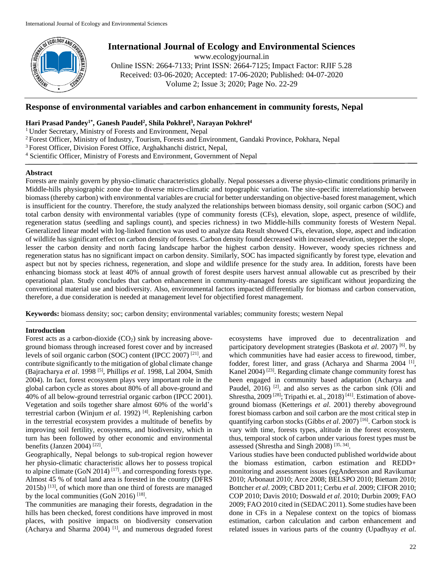

# **International Journal of Ecology and Environmental Sciences**

www.ecologyjournal.in

Online ISSN: 2664-7133; Print ISSN: 2664-7125; Impact Factor: RJIF 5.28 Received: 03-06-2020; Accepted: 17-06-2020; Published: 04-07-2020 Volume 2; Issue 3; 2020; Page No. 22-29

# **Response of environmental variables and carbon enhancement in community forests, Nepal**

# **Hari Prasad Pandey1\* , Ganesh Paudel<sup>2</sup> , Shila Pokhrel<sup>3</sup> , Narayan Pokhrel<sup>4</sup>**

- <sup>1</sup> Under Secretary, Ministry of Forests and Environment, Nepal
- <sup>2</sup>Forest Officer, Ministry of Industry, Tourism, Forests and Environment, Gandaki Province, Pokhara, Nepal
- <sup>3</sup>Forest Officer, Division Forest Office, Arghakhanchi district, Nepal,
- <sup>4</sup> Scientific Officer, Ministry of Forests and Environment, Government of Nepal

# **Abstract**

Forests are mainly govern by physio-climatic characteristics globally. Nepal possesses a diverse physio-climatic conditions primarily in Middle-hills physiographic zone due to diverse micro-climatic and topographic variation. The site-specific interrelationship between biomass (thereby carbon) with environmental variables are crucial for better understanding on objective-based forest management, which is insufficient for the country. Therefore, the study analyzed the relationships between biomass density, soil organic carbon (SOC) and total carbon density with environmental variables (type of community forests (CFs), elevation, slope, aspect, presence of wildlife, regeneration status (seedling and saplings count), and species richness) in two Middle-hills community forests of Western Nepal. Generalized linear model with log-linked function was used to analyze data Result showed CFs, elevation, slope, aspect and indication of wildlife has significant effect on carbon density of forests. Carbon density found decreased with increased elevation, stepper the slope, lesser the carbon density and north facing landscape harbor the highest carbon density. However, woody species richness and regeneration status has no significant impact on carbon density. Similarly, SOC has impacted significantly by forest type, elevation and aspect but not by species richness, regeneration, and slope and wildlife presence for the study area. In addition, forests have been enhancing biomass stock at least 40% of annual growth of forest despite users harvest annual allowable cut as prescribed by their operational plan. Study concludes that carbon enhancement in community-managed forests are significant without jeopardizing the conventional material use and biodiversity. Also, environmental factors impacted differentially for biomass and carbon conservation, therefore, a due consideration is needed at management level for objectified forest management.

**Keywords:** biomass density; soc; carbon density; environmental variables; community forests; western Nepal

# **Introduction**

Forest acts as a carbon-dioxide  $(CO<sub>2</sub>)$  sink by increasing aboveground biomass through increased forest cover and by increased levels of soil organic carbon (SOC) content (IPCC 2007)<sup>[21]</sup>. and contribute significantly to the mitigation of global climate change (Bajracharya *et al*. 1998 [5] , Phillips *et al*. 1998, Lal 2004, Smith 2004). In fact, forest ecosystem plays very important role in the global carbon cycle as stores about 80% of all above-ground and 40% of all below-ground terrestrial organic carbon (IPCC 2001). Vegetation and soils together share almost 60% of the world's terrestrial carbon (Winjum *et al*. 1992) [4] . Replenishing carbon in the terrestrial ecosystem provides a multitude of benefits by improving soil fertility, ecosystems, and biodiversity, which in turn has been followed by other economic and environmental benefits (Janzen 2004)<sup>[22]</sup>.

Geographically, Nepal belongs to sub-tropical region however her physio-climatic characteristic allows her to possess tropical to alpine climate  $(GoN 2014)$ <sup>[17]</sup>. and corresponding forests type. Almost 45 % of total land area is forested in the country (DFRS 2015b)<sup>[13]</sup>, of which more than one third of forests are managed by the local communities (GoN 2016)<sup>[18]</sup>.

The communities are managing their forests, degradation in the hills has been checked, forest conditions have improved in most places, with positive impacts on biodiversity conservation (Acharya and Sharma 2004)<sup>[1]</sup>, and numerous degraded forest ecosystems have improved due to decentralization and participatory development strategies (Baskota *et al*. 2007) [6] . by which communities have had easier access to firewood, timber, fodder, forest litter, and grass (Acharya and Sharma 2004<sup>[1]</sup>, Kanel 2004)<sup>[23]</sup>. Regarding climate change community forest has been engaged in community based adaptation (Acharya and Paudel,  $2016$ ) <sup>[2]</sup>. and also serves as the carbon sink (Oli and Shrestha, 2009<sup>[28]</sup>; Tripathi et. al., 2018)<sup>[41]</sup>. Estimation of aboveground biomass (Ketterings *et al*. 2001) thereby aboveground forest biomass carbon and soil carbon are the most critical step in quantifying carbon stocks (Gibbs *et al.* 2007)<sup>[16]</sup>. Carbon stock is vary with time, forests types, altitude in the forest ecosystem, thus, temporal stock of carbon under various forest types must be assessed (Shrestha and Singh 2008)<sup>[35, 34]</sup>.

Various studies have been conducted published worldwide about the biomass estimation, carbon estimation and REDD+ monitoring and assessment issues (egAndersson and Ravikumar 2010; Arbonaut 2010; Arce 2008; BELSPO 2010; Biettam 2010; Bottcher *et al*. 2009; CBD 2011; Cerbu *et al*. 2009; CIFOR 2010; COP 2010; Davis 2010; Doswald *et al*. 2010; Durbin 2009; FAO 2009; FAO 2010 cited in (SEDAC 2011). Some studies have been done in CFs in a Nepalese context on the topics of biomass estimation, carbon calculation and carbon enhancement and related issues in various parts of the country (Upadhyay *et al*.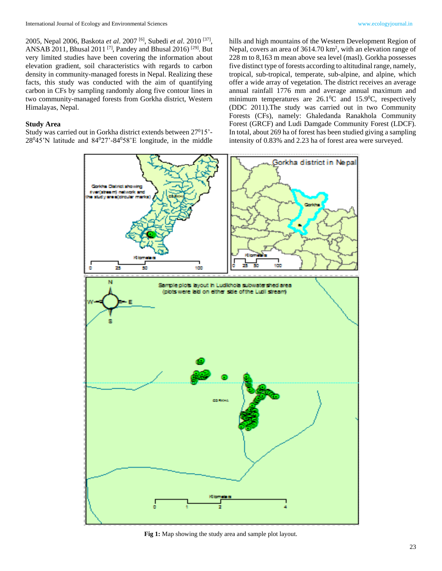2005, Nepal 2006, Baskota *et al*. 2007 [6] , Subedi *et al*. 2010 [37] , ANSAB 2011, Bhusal 2011<sup>[7]</sup>, Pandey and Bhusal 2016)<sup>[29]</sup>. But very limited studies have been covering the information about elevation gradient, soil characteristics with regards to carbon density in community-managed forests in Nepal. Realizing these facts, this study was conducted with the aim of quantifying carbon in CFs by sampling randomly along five contour lines in two community-managed forests from Gorkha district, Western Himalayas, Nepal.

#### **Study Area**

Study was carried out in Gorkha district extends between 27<sup>0</sup>15'-  $28^045'$ N latitude and  $84^027' - 84^058'$ E longitude, in the middle hills and high mountains of the Western Development Region of Nepal, covers an area of 3614.70 km<sup>2</sup>, with an elevation range of 228 m to 8,163 m mean above sea level (masl). Gorkha possesses five distinct type of forests according to altitudinal range, namely, tropical, sub-tropical, temperate, sub-alpine, and alpine, which offer a wide array of vegetation. The district receives an average annual rainfall 1776 mm and average annual maximum and minimum temperatures are  $26.1^{\circ}$ C and  $15.9^{\circ}$ C, respectively (DDC 2011).The study was carried out in two Community Forests (CFs), namely: Ghaledanda Ranakhola Community Forest (GRCF) and Ludi Damgade Community Forest (LDCF). In total, about 269 ha of forest has been studied giving a sampling intensity of 0.83% and 2.23 ha of forest area were surveyed.



**Fig 1:** Map showing the study area and sample plot layout.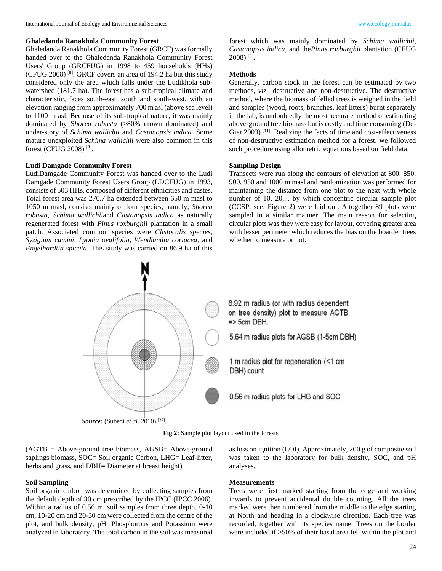# **Ghaledanda Ranakhola Community Forest**

Ghaledanda Ranakhola Community Forest (GRCF) was formally handed over to the Ghaledanda Ranakhola Community Forest Users' Group (GRCFUG) in 1998 to 459 households (HHs) (CFUG 2008) [8] . GRCF covers an area of 194.2 ha but this study considered only the area which falls under the Ludikhola subwatershed (181.7 ha). The forest has a sub-tropical climate and characteristic, faces south-east, south and south-west, with an elevation ranging from approximately 700 m asl (above sea level) to 1100 m asl. Because of its sub-tropical nature, it was mainly dominated by S*horea robusta* (>80% crown dominated) and under-story of *Schima wallichii* and *Castanopsis indica.* Some mature unexploited *Schima wallichii* were also common in this forest (CFUG 2008)<sup>[8]</sup>.

# **Ludi Damgade Community Forest**

LudiDamgade Community Forest was handed over to the Ludi Damgade Community Forest Users Group (LDCFUG) in 1993, consists of 503 HHs, composed of different ethnicities and castes. Total forest area was 270.7 ha extended between 650 m masl to 1050 m masl, consists mainly of four species, namely; *Shorea robusta, Schima wallichii*and *Castanopsis indica* as naturally regenerated forest with *Pinus roxburghii* plantation in a small patch. Associated common species were *Clistocalis species, Syzigium cumini, Lyonia ovalifolia, Wendlandia coriacea,* and *Engelhardtia spicata*. This study was carried on 86.9 ha of this forest which was mainly dominated by *Schima wallichii, Castanopsis indica,* and the*Pinus roxburghii* plantation (CFUG 2008) [8] .

#### **Methods**

Generally, carbon stock in the forest can be estimated by two methods, *viz*., destructive and non-destructive. The destructive method, where the biomass of felled trees is weighed in the field and samples (wood, roots, branches, leaf litters) burnt separately in the lab, is undoubtedly the most accurate method of estimating above-ground tree biomass but is costly and time consuming (De-Gier 2003)<sup>[11]</sup>. Realizing the facts of time and cost-effectiveness of non-destructive estimation method for a forest, we followed such procedure using allometric equations based on field data.

# **Sampling Design**

Transects were run along the contours of elevation at 800, 850, 900, 950 and 1000 m masl and randomization was performed for maintaining the distance from one plot to the next with whole number of 10, 20,... by which concentric circular sample plot (CCSP, see: Figure 2) were laid out. Altogether 89 plots were sampled in a similar manner. The main reason for selecting circular plots was they were easy for layout, covering greater area with lesser perimeter which reduces the bias on the boarder trees whether to measure or not.





(AGTB = Above-ground tree biomass, AGSB= Above-ground saplings biomass, SOC= Soil organic Carbon, LHG= Leaf-litter, herbs and grass, and DBH= Diameter at breast height)

#### **Soil Sampling**

Soil organic carbon was determined by collecting samples from the default depth of 30 cm prescribed by the IPCC (IPCC 2006). Within a radius of 0.56 m, soil samples from three depth, 0-10 cm, 10-20 cm and 20-30 cm were collected from the centre of the plot, and bulk density, pH, Phosphorous and Potassium were analyzed in laboratory. The total carbon in the soil was measured as loss on ignition (LOI). Approximately, 200 g of composite soil was taken to the laboratory for bulk density, SOC, and pH analyses.

#### **Measurements**

Trees were first marked starting from the edge and working inwards to prevent accidental double counting. All the trees marked were then numbered from the middle to the edge starting at North and heading in a clockwise direction. Each tree was recorded, together with its species name. Trees on the border were included if >50% of their basal area fell within the plot and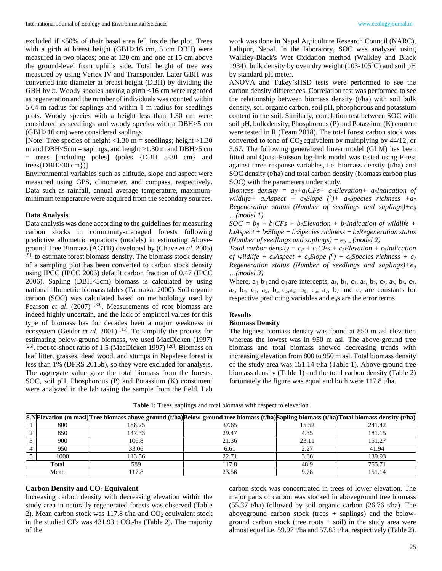excluded if <50% of their basal area fell inside the plot. Trees with a girth at breast height (GBH>16 cm, 5 cm DBH) were measured in two places; one at 130 cm and one at 15 cm above the ground-level from uphills side. Total height of tree was measured by using Vertex IV and Transponder. Later GBH was converted into diameter at breast height (DBH) by dividing the GBH by  $\pi$ . Woody species having a girth <16 cm were regarded as regeneration and the number of individuals was counted within 5.64 m radius for saplings and within 1 m radius for seedlings plots. Woody species with a height less than 1.30 cm were considered as seedlings and woody species with a DBH>5 cm (GBH>16 cm) were considered saplings.

[Note: Tree species of height  $< 1.30$  m = seedlings; height  $> 1.30$ m and DBH $\le$ 5cm = saplings, and height  $>1.30$  m and DBH $>5$  cm = trees [including poles] (poles {DBH 5-30 cm} and trees{DBH>30 cm})]

Environmental variables such as altitude, slope and aspect were measured using GPS, clinometer, and compass, respectively. Data such as rainfall, annual average temperature, maximumminimum temperature were acquired from the secondary sources.

#### **Data Analysis**

Data analysis was done according to the guidelines for measuring carbon stocks in community-managed forests following predictive allometric equations (models) in estimating Aboveground Tree Biomass (AGTB) developed by (Chave *et al*. 2005) [9] . to estimate forest biomass density. The biomass stock density of a sampling plot has been converted to carbon stock density using IPCC (IPCC 2006) default carbon fraction of 0.47 (IPCC 2006). Sapling (DBH<5cm) biomass is calculated by using national allometric biomass tables (Tamrakar 2000). Soil organic carbon (SOC) was calculated based on methodology used by Pearson *et al.* (2007)<sup>[30]</sup>. Measurements of root biomass are indeed highly uncertain, and the lack of empirical values for this type of biomass has for decades been a major weakness in ecosystem (Geider *et al.* 2001)<sup>[15]</sup>. To simplify the process for estimating below-ground biomass, we used MacDicken (1997) [26]. root-to-shoot ratio of 1:5 (MacDicken 1997)<sup>[26]</sup>. Biomass on leaf litter, grasses, dead wood, and stumps in Nepalese forest is less than 1% (DFRS 2015b), so they were excluded for analysis. The aggregate value gave the total biomass from the forests. SOC, soil pH, Phosphorous (P) and Potassium (K) constituent were analyzed in the lab taking the sample from the field. Lab

work was done in Nepal Agriculture Research Council (NARC), Lalitpur, Nepal. In the laboratory, SOC was analysed using Walkley-Black's Wet Oxidation method (Walkley and Black 1934), bulk density by oven dry weight (103-105 $^{\circ}$ C) and soil pH by standard pH meter.

ANOVA and Tukey'sHSD tests were performed to see the carbon density differences. Correlation test was performed to see the relationship between biomass density (t/ha) with soil bulk density, soil organic carbon, soil pH, phosphorous and potassium content in the soil. Similarly, correlation test between SOC with soil pH, bulk density, Phosphorous (P) and Potassium (K) content were tested in R (Team 2018). The total forest carbon stock was converted to tone of  $CO<sub>2</sub>$  equivalent by multiplying by 44/12, or 3.67. The following generalized linear model (GLM) has been fitted and Quasi-Poisson log-link model was tested using F-test against three response variables, i.e. biomass density (t/ha) and SOC density (t/ha) and total carbon density (biomass carbon plus SOC) with the parameters under study.

*Biomass density =*  $a_{ij} + a_j CF_s + a_j E$ *levation+ a<sub>3</sub><i>Indication of wildlife+ a4Aspect + a5Slope (<sup>0</sup> )+ a6Species richness +a<sup>7</sup> Regeneration status (Number of seedlings and saplings)+eij …(model 1)*

 $SOC = b_{ij} + b_i CFs + b_2 E levation + b_3 Indication of wildlife +$  $b_4$ *Aspect* +  $b_5$ *Slope* +  $b_6$ *Species richness* +  $b_7$ *Regeneration status (Number of seedlings and saplings) + eij … (model 2)*

*Total carbon density* =  $c_{ij}$  +  $c_{1}CFs$  +  $c_{2}Elevation$  +  $c_{3}Indication$ *of wildlife + c4Aspect + c5Slope (<sup>0</sup> ) + c6Species richness + c<sup>7</sup> Regeneration status (Number of seedlings and saplings)+eij …(model 3)*

Where,  $a_{ii}$ ,  $b_{ii}$  and  $c_{ii}$  are intercepts,  $a_1$ ,  $b_1$ ,  $c_1$ ,  $a_2$ ,  $b_2$ ,  $c_2$ ,  $a_3$ ,  $b_3$ ,  $c_3$ , a<sub>4</sub>, b<sub>4</sub>, c<sub>4</sub>, a<sub>5</sub>, b<sub>5</sub>, c<sub>5</sub>, a<sub>6</sub>, b<sub>6</sub>, c<sub>6</sub>, a<sub>7</sub>, b<sub>7</sub> and c<sub>7</sub> are constants for respective predicting variables and  $e_{ii}$ s are the error terms.

# **Results**

### **Biomass Density**

The highest biomass density was found at 850 m asl elevation whereas the lowest was in 950 m asl. The above-ground tree biomass and total biomass showed decreasing trends with increasing elevation from 800 to 950 m asl. Total biomass density of the study area was 151.14 t/ha (Table 1). Above-ground tree biomass density (Table 1) and the total carbon density (Table 2) fortunately the figure was equal and both were 117.8 t/ha.

|       | S.NElevation (m masl) Tree biomass above-ground (t/ha) Below-ground tree biomass (t/ha) Sapling biomass (t/ha) Total biomass density (t/ha) |       |       |        |
|-------|---------------------------------------------------------------------------------------------------------------------------------------------|-------|-------|--------|
| 800   | 188.25                                                                                                                                      | 37.65 | 15.52 | 241.42 |
| 850   | 147.33                                                                                                                                      | 29.47 | 4.35  | 181.15 |
| 900   | 106.8                                                                                                                                       | 21.36 | 23.11 | 151.27 |
| 950   | 33.06                                                                                                                                       | 6.61  | 2.27  | 41.94  |
| 1000  | 113.56                                                                                                                                      | 22.71 | 3.66  | 139.93 |
| Total | 589                                                                                                                                         | 117.8 | 48.9  | 755.71 |
| Mean  | 117.8                                                                                                                                       | 23.56 | 9.78  | 151.14 |

**Table 1:** Trees, saplings and total biomass with respect to elevation

# **Carbon Density and CO**<sup>2</sup> **Equivalent**

Increasing carbon density with decreasing elevation within the study area in naturally regenerated forests was observed (Table 2). Mean carbon stock was 117.8 t/ha and  $CO<sub>2</sub>$  equivalent stock in the studied CFs was  $431.93$  t CO<sub>2</sub>/ha (Table 2). The majority of the

carbon stock was concentrated in trees of lower elevation. The major parts of carbon was stocked in aboveground tree biomass (55.37 t/ha) followed by soil organic carbon (26.76 t/ha). The aboveground carbon stock (trees + saplings) and the belowground carbon stock (tree roots  $+$  soil) in the study area were almost equal i.e. 59.97 t/ha and 57.83 t/ha, respectively (Table 2).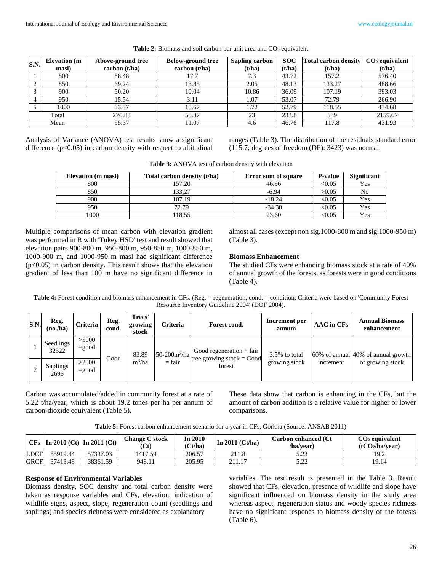| S.N.           | <b>Elevation</b> (m)<br>masl) | Above-ground tree<br>carbon (t/ha) | <b>Below-ground tree</b><br>carbon (t/ha) | <b>Sapling carbon</b><br>(t/ha) | <b>SOC</b><br>(t/ha) | <b>Total carbon density</b><br>(t/ha) | $CO2$ equivalent<br>(t/ha) |
|----------------|-------------------------------|------------------------------------|-------------------------------------------|---------------------------------|----------------------|---------------------------------------|----------------------------|
|                | 800                           | 88.48                              | 17.7                                      | 7.3                             | 43.72                | 157.2                                 | 576.40                     |
| $\gamma$       | 850                           | 69.24                              | 13.85                                     | 2.05                            | 48.13                | 133.27                                | 488.66                     |
| $\mathbf{r}$   | 900                           | 50.20                              | 10.04                                     | 10.86                           | 36.09                | 107.19                                | 393.03                     |
| $\overline{4}$ | 950                           | 15.54                              | 3.11                                      | 1.07                            | 53.07                | 72.79                                 | 266.90                     |
|                | 1000                          | 53.37                              | 10.67                                     | 1.72                            | 52.79                | 118.55                                | 434.68                     |
|                | Total                         | 276.83                             | 55.37                                     | 23                              | 233.8                | 589                                   | 2159.67                    |
| Mean           |                               | 55.37                              | 11.07                                     | 4.6                             | 46.76                | 117.8                                 | 431.93                     |

**Table 2:** Biomass and soil carbon per unit area and CO<sub>2</sub> equivalent

Analysis of Variance (ANOVA) test results show a significant difference  $(p<0.05)$  in carbon density with respect to altitudinal ranges (Table 3). The distribution of the residuals standard error (115.7; degrees of freedom (DF): 3423) was normal.

| <b>Table 3:</b> ANOVA test of carbon density with elevation |  |  |
|-------------------------------------------------------------|--|--|
|                                                             |  |  |

| <b>Elevation</b> (m masl) | Total carbon density (t/ha) | <b>Error sum of square</b> | <b>P-value</b> | Significant |
|---------------------------|-----------------------------|----------------------------|----------------|-------------|
| 800                       | 157.20                      | 46.96                      | < 0.05         | Yes         |
| 850                       | 33.27                       | $-6.94$                    | >0.05          | No          |
| 900                       | 107.19                      | $-18.24$                   | < 0.05         | Yes         |
| 950                       | 72.79                       | $-34.30$                   | < 0.05         | Yes         |
| 1000                      | 18.55                       | 23.60                      | $< \!\! 0.05$  | Yes         |

Multiple comparisons of mean carbon with elevation gradient was performed in R with 'Tukey HSD' test and result showed that elevation pairs 900-800 m, 950-800 m, 950-850 m, 1000-850 m, 1000-900 m, and 1000-950 m masl had significant difference (p<0.05) in carbon density. This result shows that the elevation gradient of less than 100 m have no significant difference in

almost all cases (except non sig.1000-800 m and sig.1000-950 m) (Table 3).

# **Biomass Enhancement**

The studied CFs were enhancing biomass stock at a rate of 40% of annual growth of the forests, as forests were in good conditions (Table 4).

**Table 4:** Forest condition and biomass enhancement in CFs. (Reg. = regeneration, cond. = condition, Criteria were based on 'Community Forest Resource Inventory Guideline 2004' (DOF 2004).

| S.N. | Reg.<br>$(no, h$ a      | <b>Criteria</b>   | Reg.<br>cond.    | Trees'<br>growing<br>stock | Criteria                            | Forest cond.               | Increment per<br>annum | <b>AAC</b> in CFs | <b>Annual Biomass</b><br>enhancement  |
|------|-------------------------|-------------------|------------------|----------------------------|-------------------------------------|----------------------------|------------------------|-------------------|---------------------------------------|
|      | Seedlings<br>32522      | >5000<br>$=$ good |                  | 83.89                      | 50-200 $m^3/ha$                     | Good regeneration $+$ fair | 3.5% to total          |                   | $60\%$ of annual 40% of annual growth |
|      | <b>Saplings</b><br>2696 | >2000<br>$=$ good | Good<br>$m^3/ha$ | $=$ fair                   | tree growing stock = Good<br>forest | growing stock              | increment              | of growing stock  |                                       |

Carbon was accumulated/added in community forest at a rate of 5.22 t/ha/year, which is about 19.2 tones per ha per annum of carbon-dioxide equivalent (Table 5).

These data show that carbon is enhancing in the CFs, but the amount of carbon addition is a relative value for higher or lower comparisons.

**Table 5:** Forest carbon enhancement scenario for a year in CFs, Gorkha (Source: ANSAB 2011)

|             | $ CFs $ In 2010 (Ct) In 2011 (Ct) |          | <b>Change C stock</b><br>'Ct) | In 2010<br>(Ct/ha) | In 2011 $($ Ct/ha $)$ $ $ | Carbon enhanced (Ct<br>/ha/vear) | $CO2$ equivalent<br>(tCO <sub>2</sub> /ha/year) |
|-------------|-----------------------------------|----------|-------------------------------|--------------------|---------------------------|----------------------------------|-------------------------------------------------|
| <b>LDCF</b> | 55919.44                          | 57337.03 | 1417.59                       | 206.57             |                           | 5 72<br>ل⊾ کہ ل                  | 19.2                                            |
| <b>GRCF</b> | 37413.48                          | 38361.59 | 948.11                        | 205.95             | 211.17                    | רר ד<br>ے ۔۔                     | 19.14                                           |

# **Response of Environmental Variables**

Biomass density, SOC density and total carbon density were taken as response variables and CFs, elevation, indication of wildlife signs, aspect, slope, regeneration count (seedlings and saplings) and species richness were considered as explanatory

variables. The test result is presented in the Table 3. Result showed that CFs, elevation, presence of wildlife and slope have significant influenced on biomass density in the study area whereas aspect, regeneration status and woody species richness have no significant respones to biomass density of the forests (Table 6).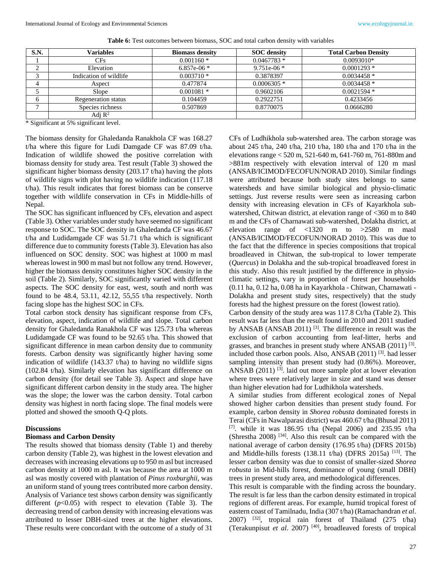| S.N.   | Variables              | <b>Biomass density</b> | <b>SOC</b> density | <b>Total Carbon Density</b> |
|--------|------------------------|------------------------|--------------------|-----------------------------|
|        | CFs                    | $0.001160*$            | $0.0467783*$       | $0.0093010*$                |
| ◠      | Elevation              | 6.857e-06 $*$          | 9.751e-06 $*$      | $0.0001293$ *               |
| $\sim$ | Indication of wildlife | $0.003710*$            | 0.3878397          | $0.0034458*$                |
|        | Aspect                 | 0.477874               | $0.0006305$ *      | $0.0034458*$                |
|        | Slope                  | $0.001081$ *           | 0.9602106          | $0.0021594*$                |
| h.     | Regeneration status    | 0.104459               | 0.2922751          | 0.4233456                   |
|        | Species richness       | 0.507869               | 0.8770075          | 0.0666280                   |
|        | Adj $R^2$              |                        |                    |                             |

**Table 6:** Test outcomes between biomass, SOC and total carbon density with variables

\* Significant at 5% significant level.

The biomass density for Ghaledanda Ranakhola CF was 168.27 t/ha where this figure for Ludi Damgade CF was 87.09 t/ha. Indication of wildlife showed the positive correlation with biomass density for study area. Test result (Table 3) showed the significant higher biomass density (203.17 t/ha) having the plots of wildlife signs with plot having no wildlife indication (117.18 t/ha). This result indicates that forest biomass can be conserve together with wildlife conservation in CFs in Middle-hills of Nepal.

The SOC has significant influenced by CFs, elevation and aspect (Table 3). Other variables under study have seemed no significant response to SOC. The SOC density in Ghaledanda CF was 46.67 t/ha and Ludidamgade CF was 51.71 t/ha which is significant difference due to community forests (Table 3). Elevation has also influenced on SOC density. SOC was highest at 1000 m masl whereas lowest in 900 m masl but not follow any trend. However, higher the biomass density constitutes higher SOC density in the soil (Table 2). Similarly, SOC significantly varied with different aspects. The SOC density for east, west, south and north was found to be 48.4, 53.11, 42.12, 55,55 t/ha respectively. North facing slope has the highest SOC in CFs.

Total carbon stock density has significant response from CFs, elevation, aspect, indication of wildlife and slope. Total carbon density for Ghaledanda Ranakhola CF was 125.73 t/ha whereas Ludidamgade CF was found to be 92.65 t/ha. This showed that significant difference in mean carbon density due to community forests. Carbon density was significantly higher having some indication of wildlife (143.37 t/ha) to having no wildlife signs (102.84 t/ha). Similarly elevation has significant difference on carbon density (for detail see Table 3). Aspect and slope have significant different carbon density in the study area. The higher was the slope; the lower was the carbon density. Total carbon density was highest in north facing slope. The final models were plotted and showed the smooth Q-Q plots.

# **Discussions**

# **Biomass and Carbon Density**

The results showed that biomass density (Table 1) and thereby carbon density (Table 2), was highest in the lowest elevation and decreases with increasing elevations up to 950 m asl but increased carbon density at 1000 m asl. It was because the area at 1000 m asl was mostly covered with plantation of *Pinus roxburghii*, was an uniform stand of young trees contributed more carbon density. Analysis of Variance test shows carbon density was significantly different (*p*<0.05) with respect to elevation (Table 3). The decreasing trend of carbon density with increasing elevations was attributed to lesser DBH-sized trees at the higher elevations. These results were concordant with the outcome of a study of 31

CFs of Ludhikhola sub-watershed area. The carbon storage was about 245 t/ha, 240 t/ha, 210 t/ha, 180 t/ha and 170 t/ha in the elevations range < 520 m, 521-640 m, 641-760 m, 761-880m and >881m respectively with elevation interval of 120 m masl (ANSAB/ICIMOD/FECOFUN/NORAD 2010). Similar findings were attributed because both study sites belongs to same watersheds and have similar biological and physio-climatic settings. Just reverse results were seen as increasing carbon density with increasing elevation in CFs of Kayarkhola subwatershed, Chitwan district, at elevation range of <360 m to 840 m and the CFs of Charnawati sub-watershed, Dolakha district, at elevation range of <1320 m to >2580 m masl (ANSAB/ICIMOD/FECOFUN/NORAD 2010). This was due to the fact that the difference in species compositions that tropical broadleaved in Chitwan, the sub-tropical to lower temperate (*Quercus*) in Dolakha and the sub-tropical broadleaved forest in this study. Also this result justified by the difference in physioclimatic settings, vary in proportion of forest per households (0.11 ha, 0.12 ha, 0.08 ha in Kayarkhola - Chitwan, Charnawati - Dolakha and present study sites, respectively) that the study forests had the highest pressure on the forest (lowest ratio).

Carbon density of the study area was 117.8 Ct/ha (Table 2). This result was far less than the result found in 2010 and 2011 studied by ANSAB (ANSAB 2011)<sup>[3]</sup>. The difference in result was the exclusion of carbon accounting from leaf-litter, herbs and grasses, and branches in present study where ANSAB (2011)<sup>[3]</sup>. included those carbon pools. Also, ANSAB (2011) [3] . had lesser sampling intensity than present study had (0.86%). Moreover, ANSAB (2011)<sup>[3]</sup>. laid out more sample plot at lower elevation where trees were relatively larger in size and stand was denser than higher elevation had for Ludhikhola watersheds.

A similar studies from different ecological zones of Nepal showed higher carbon densities than present study found. For example, carbon density in *Shorea robusta* dominated forests in Terai (CFs in Nawalparasi district) was 460.67 t/ha (Bhusal 2011) [7]. while it was  $186.95$  t/ha (Nepal 2006) and 235.95 t/ha (Shrestha 2008) [34] . Also this result can be compared with the national average of carbon density (176.95 t/ha) (DFRS 2015b) and Middle-hills forests (138.11 t/ha) (DFRS 2015a) [13]. The lesser carbon density was due to consist of smaller-sized *Shorea robusta* in Mid-hills forest, dominance of young (small DBH) trees in present study area, and methodological differences.

This result is comparable with the finding across the boundary. The result is far less than the carbon density estimated in tropical regions of different areas. For example, humid tropical forest of eastern coast of Tamilnadu, India (307 t/ha) (Ramachandran *et al*. 2007) [32] , tropical rain forest of Thailand (275 t/ha) (Terakunpisut *et al*. 2007) [40] , broadleaved forests of tropical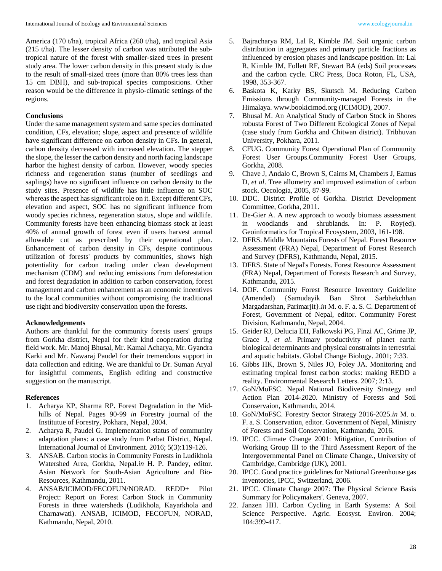America (170 t/ha), tropical Africa (260 t/ha), and tropical Asia (215 t/ha). The lesser density of carbon was attributed the subtropical nature of the forest with smaller-sized trees in present study area. The lower carbon density in this present study is due to the result of small-sized trees (more than 80% trees less than 15 cm DBH), and sub-tropical species compositions. Other reason would be the difference in physio-climatic settings of the regions.

# **Conclusions**

Under the same management system and same species dominated condition, CFs, elevation; slope, aspect and presence of wildlife have significant difference on carbon density in CFs. In general, carbon density decreased with increased elevation. The stepper the slope, the lesser the carbon density and north facing landscape harbor the highest density of carbon. However, woody species richness and regeneration status (number of seedlings and saplings) have no significant influence on carbon density to the study sites. Presence of wildlife has little influence on SOC whereas the aspect has significant role on it. Except different CFs, elevation and aspect, SOC has no significant influence from woody species richness, regeneration status, slope and wildlife. Community forests have been enhancing biomass stock at least 40% of annual growth of forest even if users harvest annual allowable cut as prescribed by their operational plan. Enhancement of carbon density in CFs, despite continuous utilization of forests' products by communities, shows high potentiality for carbon trading under clean development mechanism (CDM) and reducing emissions from deforestation and forest degradation in addition to carbon conservation, forest management and carbon enhancement as an economic incentives to the local communities without compromising the traditional use right and biodiversity conservation upon the forests.

# **Acknowledgements**

Authors are thankful for the community forests users' groups from Gorkha district, Nepal for their kind cooperation during field work. Mr. Manoj Bhusal, Mr. Kamal Acharya, Mr. Gyandra Karki and Mr. Nawaraj Paudel for their tremendous support in data collection and editing. We are thankful to Dr. Suman Aryal for insightful comments, English editing and constructive suggestion on the manuscript.

#### **References**

- 1. Acharya KP, Sharma RP. Forest Degradation in the Midhills of Nepal. Pages 90-99 *in* Forestry journal of the Institutue of Forestry, Pokhara, Nepal, 2004.
- 2. Acharya R, Paudel G. Implementation status of community adaptation plans: a case study from Parbat District, Nepal. International Journal of Environment. 2016; 5(3):119-126.
- 3. ANSAB. Carbon stocks in Community Forests in Ludikhola Watershed Area, Gorkha, Nepal.*in* H. P. Pandey, editor. Asian Network for South-Asian Agriculture and Bio-Resources, Kathmandu, 2011.
- 4. ANSAB/ICIMOD/FECOFUN/NORAD. REDD+ Pilot Project: Report on Forest Carbon Stock in Community Forests in three watersheds (Ludikhola, Kayarkhola and Charnawati). ANSAB, ICIMOD, FECOFUN, NORAD, Kathmandu, Nepal, 2010.
- 6. Baskota K, Karky BS, Skutsch M. Reducing Carbon Emissions through Community-managed Forests in the Himalaya. www.bookicimod.org (ICIMOD), 2007.
- 7. Bhusal M. An Analytical Study of Carbon Stock in Shores robusta Forest of Two Different Ecological Zones of Nepal (case study from Gorkha and Chitwan district). Tribhuvan University, Pokhara, 2011.
- 8. CFUG. Community Forest Operational Plan of Community Forest User Groups.Community Forest User Groups, Gorkha, 2008.
- 9. Chave J, Andalo C, Brown S, Cairns M, Chambers J, Eamus D, *et al*. Tree allometry and improved estimation of carbon stock. Oecologia, 2005, 87-99.
- 10. DDC. District Profile of Gorkha. District Development Committee, Gorkha, 2011.
- 11. De-Gier A. A new approach to woody biomass assessment in woodlands and shrublands. In: P. Roy(ed). Geoinformatics for Tropical Ecosystem, 2003, 161-198.
- 12. DFRS. Middle Mountains Forests of Nepal. Forest Resource Assessment (FRA) Nepal, Department of Forest Research and Survey (DFRS), Kathmandu, Nepal, 2015.
- 13. DFRS. State of Nepal's Forests. Forest Resource Assessment (FRA) Nepal, Department of Forests Research and Survey, Kathmandu, 2015.
- 14. DOF. Community Forest Resource Inventory Guideline (Amended) {Samudayik Ban Shrot Sarbhekchhan Margadarshan, Parimarjit}.*in* M. o. F. a. S. C. Department of Forest, Government of Nepal, editor. Community Forest Division, Kathmandu, Nepal, 2004.
- 15. Geider RJ, Delucia EH, Falkowski PG, Finzi AC, Grime JP, Grace J, *et al*. Primary productivity of planet earth: biological determinants and physical constraints in terrestrial and aquatic habitats. Global Change Biology. 2001; 7:33.
- 16. Gibbs HK, Brown S, Niles JO, Foley JA. Monitoring and estimating tropical forest carbon stocks: making REDD a reality. Environmental Research Letters. 2007; 2:13.
- 17. GoN/MoFSC. Nepal National Biodiversity Strategy and Action Plan 2014-2020. Ministry of Forests and Soil Conservaion, Kathmandu, 2014.
- 18. GoN/MoFSC. Forestry Sector Strategy 2016-2025.*in* M. o. F. a. S. Conservation, editor. Government of Nepal, Ministry of Forests and Soil Conservation, Kathmandu, 2016.
- 19. IPCC. Climate Change 2001: Mitigation, Contribution of Working Group III to the Third Assessment Report of the Intergovernmental Panel on Climate Change., University of Cambridge, Cambridge (UK), 2001.
- 20. IPCC. Good practice guidelines for National Greenhouse gas inventories, IPCC, Switzerland, 2006.
- 21. IPCC. Climate Change 2007: The Physical Science Basis Summary for Policymakers'. Geneva, 2007.
- 22. Janzen HH. Carbon Cycling in Earth Systems: A Soil Science Perspective. Agric. Ecosyst. Environ. 2004; 104:399-417.